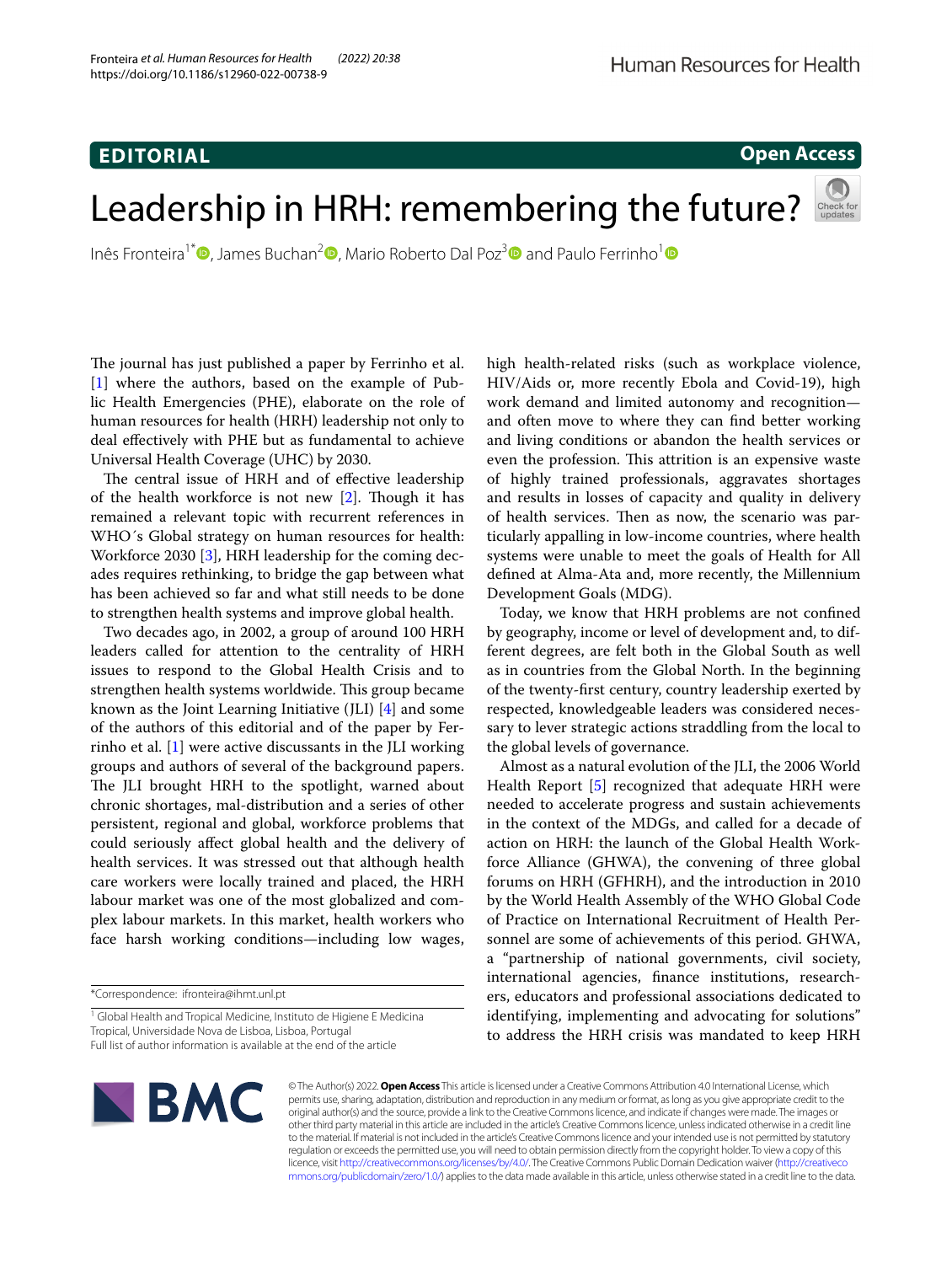# **EDITORIAL**

# **Open Access**

# Leadership in HRH: remembering the future?

Inês Fronteira<sup>1\*</sup>  $\Phi$ [,](http://orcid.org/0000-0003-1406-4585) James Buchan<sup>[2](http://orcid.org/0000-0003-3002-1075)</sup>  $\Phi$ , Mario Roberto Dal Poz<sup>3</sup>  $\Phi$  and Paulo Ferrinho<sup>1</sup>  $\Phi$ 

The journal has just published a paper by Ferrinho et al. [[1\]](#page-2-0) where the authors, based on the example of Public Health Emergencies (PHE), elaborate on the role of human resources for health (HRH) leadership not only to deal efectively with PHE but as fundamental to achieve Universal Health Coverage (UHC) by 2030.

The central issue of HRH and of effective leadership of the health workforce is not new  $[2]$  $[2]$ . Though it has remained a relevant topic with recurrent references in WHO´s Global strategy on human resources for health: Workforce 2030 [\[3](#page-2-2)], HRH leadership for the coming decades requires rethinking, to bridge the gap between what has been achieved so far and what still needs to be done to strengthen health systems and improve global health.

Two decades ago, in 2002, a group of around 100 HRH leaders called for attention to the centrality of HRH issues to respond to the Global Health Crisis and to strengthen health systems worldwide. This group became known as the Joint Learning Initiative (JLI) [\[4](#page-2-3)] and some of the authors of this editorial and of the paper by Ferrinho et al. [\[1](#page-2-0)] were active discussants in the JLI working groups and authors of several of the background papers. The JLI brought HRH to the spotlight, warned about chronic shortages, mal-distribution and a series of other persistent, regional and global, workforce problems that could seriously afect global health and the delivery of health services. It was stressed out that although health care workers were locally trained and placed, the HRH labour market was one of the most globalized and complex labour markets. In this market, health workers who face harsh working conditions—including low wages,

Full list of author information is available at the end of the article



Today, we know that HRH problems are not confned by geography, income or level of development and, to different degrees, are felt both in the Global South as well as in countries from the Global North. In the beginning of the twenty-frst century, country leadership exerted by respected, knowledgeable leaders was considered necessary to lever strategic actions straddling from the local to the global levels of governance.

Almost as a natural evolution of the JLI, the 2006 World Health Report [[5\]](#page-2-4) recognized that adequate HRH were needed to accelerate progress and sustain achievements in the context of the MDGs, and called for a decade of action on HRH: the launch of the Global Health Workforce Alliance (GHWA), the convening of three global forums on HRH (GFHRH), and the introduction in 2010 by the World Health Assembly of the WHO Global Code of Practice on International Recruitment of Health Personnel are some of achievements of this period. GHWA, a "partnership of national governments, civil society, international agencies, fnance institutions, researchers, educators and professional associations dedicated to identifying, implementing and advocating for solutions" to address the HRH crisis was mandated to keep HRH



© The Author(s) 2022. **Open Access** This article is licensed under a Creative Commons Attribution 4.0 International License, which permits use, sharing, adaptation, distribution and reproduction in any medium or format, as long as you give appropriate credit to the original author(s) and the source, provide a link to the Creative Commons licence, and indicate if changes were made. The images or other third party material in this article are included in the article's Creative Commons licence, unless indicated otherwise in a credit line to the material. If material is not included in the article's Creative Commons licence and your intended use is not permitted by statutory regulation or exceeds the permitted use, you will need to obtain permission directly from the copyright holder. To view a copy of this licence, visit [http://creativecommons.org/licenses/by/4.0/.](http://creativecommons.org/licenses/by/4.0/) The Creative Commons Public Domain Dedication waiver ([http://creativeco](http://creativecommons.org/publicdomain/zero/1.0/) [mmons.org/publicdomain/zero/1.0/](http://creativecommons.org/publicdomain/zero/1.0/)) applies to the data made available in this article, unless otherwise stated in a credit line to the data.

<sup>\*</sup>Correspondence: ifronteira@ihmt.unl.pt

<sup>&</sup>lt;sup>1</sup> Global Health and Tropical Medicine, Instituto de Higiene E Medicina Tropical, Universidade Nova de Lisboa, Lisboa, Portugal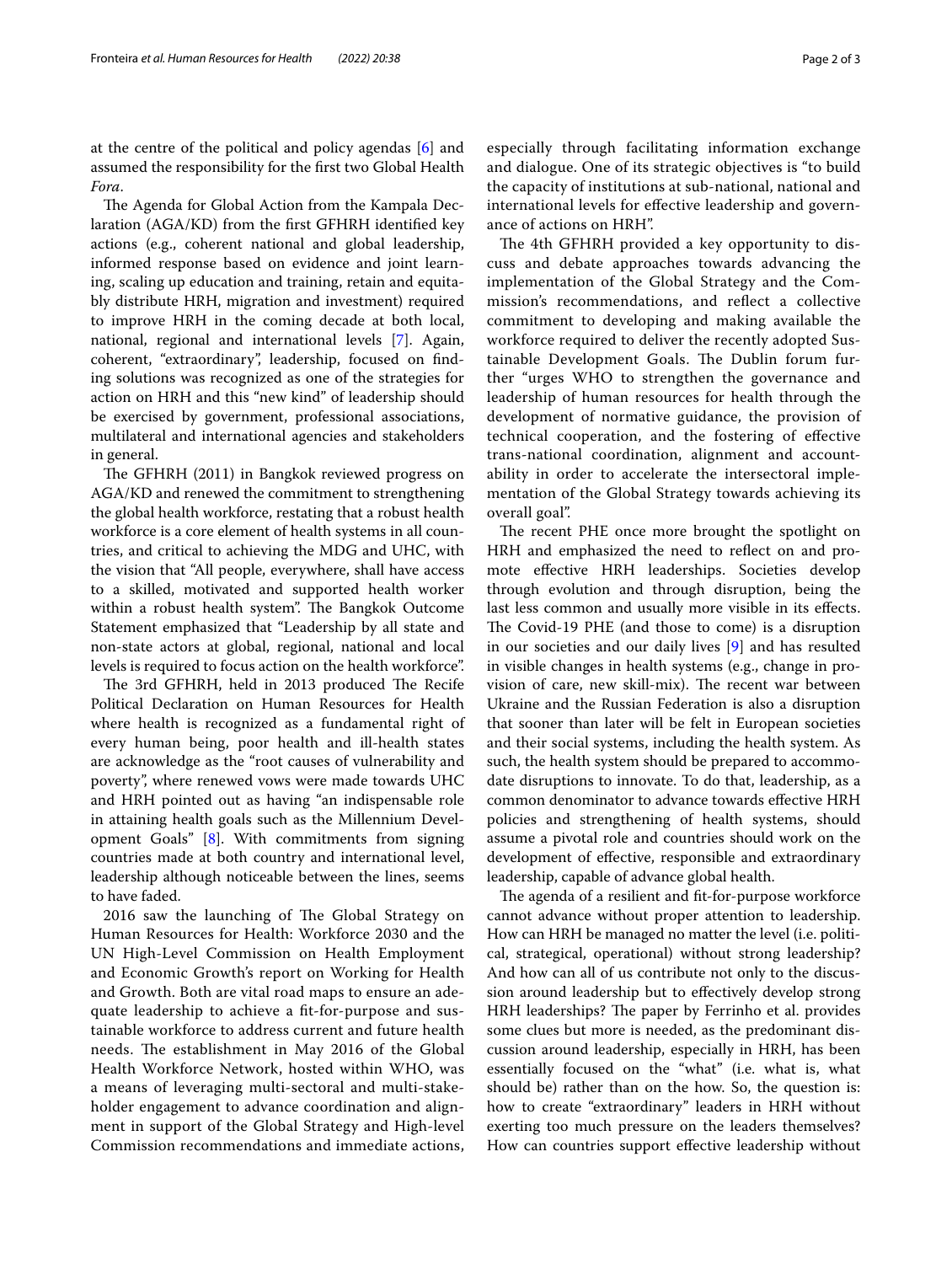at the centre of the political and policy agendas [[6\]](#page-2-5) and assumed the responsibility for the frst two Global Health *Fora*.

The Agenda for Global Action from the Kampala Declaration (AGA/KD) from the frst GFHRH identifed key actions (e.g., coherent national and global leadership, informed response based on evidence and joint learning, scaling up education and training, retain and equitably distribute HRH, migration and investment) required to improve HRH in the coming decade at both local, national, regional and international levels [[7\]](#page-2-6). Again, coherent, "extraordinary", leadership, focused on fnding solutions was recognized as one of the strategies for action on HRH and this "new kind" of leadership should be exercised by government, professional associations, multilateral and international agencies and stakeholders in general.

The GFHRH (2011) in Bangkok reviewed progress on AGA/KD and renewed the commitment to strengthening the global health workforce, restating that a robust health workforce is a core element of health systems in all countries, and critical to achieving the MDG and UHC, with the vision that "All people, everywhere, shall have access to a skilled, motivated and supported health worker within a robust health system". The Bangkok Outcome Statement emphasized that "Leadership by all state and non-state actors at global, regional, national and local levels is required to focus action on the health workforce".

The 3rd GFHRH, held in 2013 produced The Recife Political Declaration on Human Resources for Health where health is recognized as a fundamental right of every human being, poor health and ill-health states are acknowledge as the "root causes of vulnerability and poverty", where renewed vows were made towards UHC and HRH pointed out as having "an indispensable role in attaining health goals such as the Millennium Development Goals" [\[8](#page-2-7)]. With commitments from signing countries made at both country and international level, leadership although noticeable between the lines, seems to have faded.

2016 saw the launching of The Global Strategy on Human Resources for Health: Workforce 2030 and the UN High-Level Commission on Health Employment and Economic Growth's report on Working for Health and Growth. Both are vital road maps to ensure an adequate leadership to achieve a ft-for-purpose and sustainable workforce to address current and future health needs. The establishment in May 2016 of the Global Health Workforce Network, hosted within WHO, was a means of leveraging multi-sectoral and multi-stakeholder engagement to advance coordination and alignment in support of the Global Strategy and High-level Commission recommendations and immediate actions,

The 4th GFHRH provided a key opportunity to discuss and debate approaches towards advancing the implementation of the Global Strategy and the Commission's recommendations, and refect a collective commitment to developing and making available the workforce required to deliver the recently adopted Sustainable Development Goals. The Dublin forum further "urges WHO to strengthen the governance and leadership of human resources for health through the development of normative guidance, the provision of technical cooperation, and the fostering of efective trans-national coordination, alignment and accountability in order to accelerate the intersectoral implementation of the Global Strategy towards achieving its overall goal".

The recent PHE once more brought the spotlight on HRH and emphasized the need to refect on and promote efective HRH leaderships. Societies develop through evolution and through disruption, being the last less common and usually more visible in its efects. The Covid-19 PHE (and those to come) is a disruption in our societies and our daily lives [[9\]](#page-2-8) and has resulted in visible changes in health systems (e.g., change in provision of care, new skill-mix). The recent war between Ukraine and the Russian Federation is also a disruption that sooner than later will be felt in European societies and their social systems, including the health system. As such, the health system should be prepared to accommodate disruptions to innovate. To do that, leadership, as a common denominator to advance towards efective HRH policies and strengthening of health systems, should assume a pivotal role and countries should work on the development of efective, responsible and extraordinary leadership, capable of advance global health.

The agenda of a resilient and fit-for-purpose workforce cannot advance without proper attention to leadership. How can HRH be managed no matter the level (i.e. political, strategical, operational) without strong leadership? And how can all of us contribute not only to the discussion around leadership but to efectively develop strong HRH leaderships? The paper by Ferrinho et al. provides some clues but more is needed, as the predominant discussion around leadership, especially in HRH, has been essentially focused on the "what" (i.e. what is, what should be) rather than on the how. So, the question is: how to create "extraordinary" leaders in HRH without exerting too much pressure on the leaders themselves? How can countries support efective leadership without